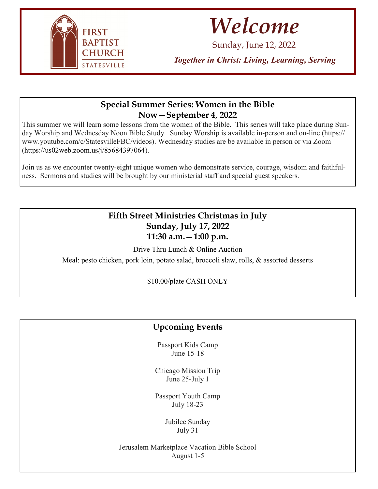

## *Welcome*

Sunday, June 12, 2022

*Together in Christ: Living, Learning, Serving*

## **Special Summer Series: Women in the Bible Now—September 4, 2022**

This summer we will learn some lessons from the women of the Bible. This series will take place during Sunday Worship and Wednesday Noon Bible Study. Sunday Worship is available in-person and on-line (https:// www.youtube.com/c/StatesvilleFBC/videos). Wednesday studies are be available in person or via Zoom (https://us02web.zoom.us/j/85684397064).

Join us as we encounter twenty-eight unique women who demonstrate service, courage, wisdom and faithfulness. Sermons and studies will be brought by our ministerial staff and special guest speakers.

## **Fifth Street Ministries Christmas in July Sunday, July 17, 2022 11:30 a.m.—1:00 p.m.**

Drive Thru Lunch & Online Auction Meal: pesto chicken, pork loin, potato salad, broccoli slaw, rolls, & assorted desserts

\$10.00/plate CASH ONLY

## **Upcoming Events**

Passport Kids Camp June 15-18

Chicago Mission Trip June 25-July 1

Passport Youth Camp July 18-23

> Jubilee Sunday July 31

Jerusalem Marketplace Vacation Bible School August 1-5